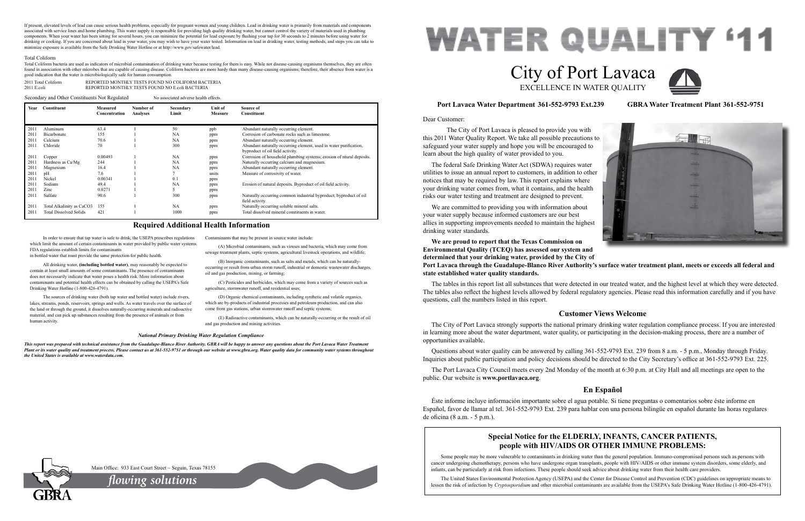Dear Customer:

 The City of Port Lavaca is pleased to provide you with this 2011 Water Quality Report. We take all possible precautions to safeguard your water supply and hope you will be encouraged to learn about the high quality of water provided to you. The federal Safe Drinking Water Act (SDWA) requires water utilities to issue an annual report to customers, in addition to other notices that may be required by law. This report explains where your drinking water comes from, what it contains, and the health risks our water testing and treatment are designed to prevent. We are committed to providing you with information about your water supply because informed customers are our best allies in supporting improvements needed to maintain the highest drinking water standards. **We are proud to report that the Texas Commission on** 

**Environmental Quality (TCEQ) has assessed our system and determined that your drinking water, provided by the City of Port Lavaca through the Guadalupe-Blanco River Authority's surface water treatment plant, meets or exceeds all federal and state established water quality standards.**

The tables in this report list all substances that were detected in our treated water, and the highest level at which they were detected. The tables also reflect the highest levels allowed by federal regulatory agencies. Please read this information carefully and if you have questions, call the numbers listed in this report.

## **Port Lavaca Water Department 361-552-9793 Ext.239 GBRA Water Treatment Plant 361-552-9751**

# **Customer Views Welcome**

The City of Port Lavaca strongly supports the national primary drinking water regulation compliance process. If you are interested in learning more about the water department, water quality, or participating in the decision-making process, there are a number of opportunities available.

Questions about water quality can be answered by calling 361-552-9793 Ext. 239 from 8 a.m. - 5 p.m., Monday through Friday. Inquiries about public participation and policy decisions should be directed to the City Secretary's office at 361-552-9793 Ext. 225.

The Port Lavaca City Council meets every 2nd Monday of the month at 6:30 p.m. at City Hall and all meetings are open to the public. Our website is **www.portlavaca.org**.

# **En Español**

Éste informe incluye información importante sobre el agua potable. Si tiene preguntas o comentarios sobre éste informe en Español, favor de llamar al tel. 361-552-9793 Ext. 239 para hablar con una persona bilingüe en español durante las horas regulares de oficina (8 a.m. - 5 p.m.).

# **WATER QUALITY '11** City of Port Lavaca EXCELLENCE IN WATER QUALITY

In order to ensure that tap water is safe to drink, the USEPA prescribes regulations which limit the amount of certain contaminants in water provided by public water systems. FDA regulations establish limits for contaminants

in bottled water that must provide the same protection for public health.

All drinking water, **(including bottled water)**, may reasonably be expected to contain at least small amounts of some contaminants. The presence of contaminants does not necessarily indicate that water poses a health risk. More information about contaminants and potential health effects can be obtained by calling the USEPA's Safe Drinking Water Hotline (1-800-426-4791).

The sources of drinking water (both tap water and bottled water) include rivers, lakes, streams, ponds, reservoirs, springs and wells. As water travels over the surface of the land or through the ground, it dissolves naturally-occurring minerals and radioactive material, and can pick up substances resulting from the presence of animals or from human activity.

Contaminants that may be present in source water include:

(A) Microbial contaminants, such as viruses and bacteria, which may come from sewage treatment plants, septic systems, agricultural livestock operations, and wildlife;

(B) Inorganic contaminants, such as salts and metals, which can be naturallyoccurring or result from urban storm runoff, industrial or domestic wastewater discharges, oil and gas production, mining, or farming;

(C) Pesticides and herbicides, which may come from a variety of sources such as agriculture, stormwater runoff, and residential uses;

2011 Total Coliform **REPORTED MONTHLY TESTS FOUND NO COLIFORM BACTERIA**<br>2011 E coli 2011 E.coli REPORTED MONTHLY TESTS FOUND NO E.coli BACTERIA

> (D) Organic chemical contaminants, including synthetic and volatile organics, which are by-products of industrial processes and petroleum production, and can also come from gas stations, urban stormwater runoff and septic systems;

(E) Radioactive contaminants, which can be naturally-occurring or the result of oil and gas production and mining activities.

### **Required Additional Health Information**

#### *National Primary Drinking Water Regulation Compliance*

*This report was prepared with technical assistance from the Guadalupe-Blanco River Authority. GBRA will be happy to answer any questions about the Port Lavaca Water Treatment Plant or its water quality and treatment process. Please contact us at 361-552-9751 or through our website at www.gbra.org. Water quality data for community water systems throughout the United States is available at www.waterdata.com.*

# **Special Notice for the ELDERLY, INFANTS, CANCER PATIENTS, people with HIV/AIDS OR OTHER IMMUNE PROBLEMS:**

Some people may be more vulnerable to contaminants in drinking water than the general population. Immuno-compromised persons such as persons with cancer undergoing chemotherapy, persons who have undergone organ transplants, people with HIV/AIDS or other immune system disorders, some elderly, and infants, can be particularly at risk from infections. These people should seek advice about drinking water from their health care providers.

The United States Environmental Protection Agency (USEPA) and the Center for Disease Control and Prevention (CDC) guidelines on appropriate means to lessen the risk of infection by *Cryptosporidium* and other microbial contaminants are available from the USEPA's Safe Drinking Water Hotline (1-800-426-4791).

Main Office: 933 East Court Street ~ Seguin, Texas 78155



| Year | Constituent                   | Measured<br>Concentration | Number of<br>Analyses | Secondary<br>Limit | Unit of<br>Measure | Source of<br>Constituent                                             |
|------|-------------------------------|---------------------------|-----------------------|--------------------|--------------------|----------------------------------------------------------------------|
|      |                               |                           |                       |                    |                    |                                                                      |
| 2011 | Aluminum                      | 63.4                      |                       | 50                 | ppb                | Abundant naturally occurring element.                                |
| 2011 | Bicarbonate                   | 155                       |                       | NA                 | ppm                | Corrosion of carbonate rocks such as limestone.                      |
| 2011 | Calcium                       | 70.6                      |                       | NA                 | ppm                | Abundant naturally occurring element.                                |
| 2011 | Chloride                      | 70                        |                       | 300                | ppm                | Abundant naturally occurring element, used in water purification,    |
|      |                               |                           |                       |                    |                    | byproduct of oil field activity.                                     |
| 2011 | Copper                        | 0.00493                   |                       | NA                 | ppm                | Corrosion of household plumbing systems; erosion of ntural deposits. |
| 2011 | Hardness as Ca/Mg             | 244                       |                       | <b>NA</b>          | ppm                | Naturally occurring calcium and magnesium.                           |
| 2011 | Magnesium                     | 16.4                      |                       | <b>NA</b>          | ppm                | Abundant naturally occurring element.                                |
| 2011 | pH                            | 7.6                       |                       |                    | units              | Measure of corrosivity of water.                                     |
| 2011 | Nickel                        | 0.00341                   |                       | 0.1                | ppm                |                                                                      |
| 2011 | Sodium                        | 49.4                      |                       | <b>NA</b>          | ppm                | Erosion of natural deposits. Byproduct of oil field activity.        |
| 2011 | Zinc                          | 0.0271                    |                       | 5                  | ppm                |                                                                      |
| 2011 | Sulfate                       | 90.6                      |                       | 300                | ppm                | Naturally occurring common industrial byproduct; byproduct of oil    |
|      |                               |                           |                       |                    |                    | field activity.                                                      |
| 2011 | Total Alkalinity as CaCO3     | 155                       |                       | NA                 | ppm                | Naturally occurring soluble mineral salts.                           |
| 2011 | <b>Total Dissolved Solids</b> | 421                       |                       | 1000               | ppm                | Total dissolved mineral constituents in water.                       |
|      |                               |                           |                       |                    |                    |                                                                      |

Secondary and Other Constituents Not Regulated No associated adverse health effects.

*flowing solutions*





If present, elevated levels of lead can cause serious health problems, especially for pregnant women and young children. Lead in drinking water is primarily from materials and components associated with service lines and home plumbing. This water supply is responsible for providing high quality drinking water, but cannot control the variety of materials used in plumbing components. When your water has been sitting for several hours, you can minimize the potential for lead exposure by flushing your tap for 30 seconds to 2 minutes before using water for drinking or cooking. If you are concerned about lead in your water, you may wish to have your water tested. Information on lead in drinking water, testing methods, and steps you can take to minimize exposure is available from the Safe Drinking Water Hotline or at http://www.gov/safewater/lead.

#### Total Coliform

Total Coliform bacteria are used as indicators of microbial contamination of drinking water because testing for them is easy. While not disease-causing organisms themselves, they are often found in association with other microbes that are capable of causing disease. Coliform bacteria are more hardy than many disease-causing organisms; therefore, their absence from water is a good indication that the water is microbiologically safe for human consumption.